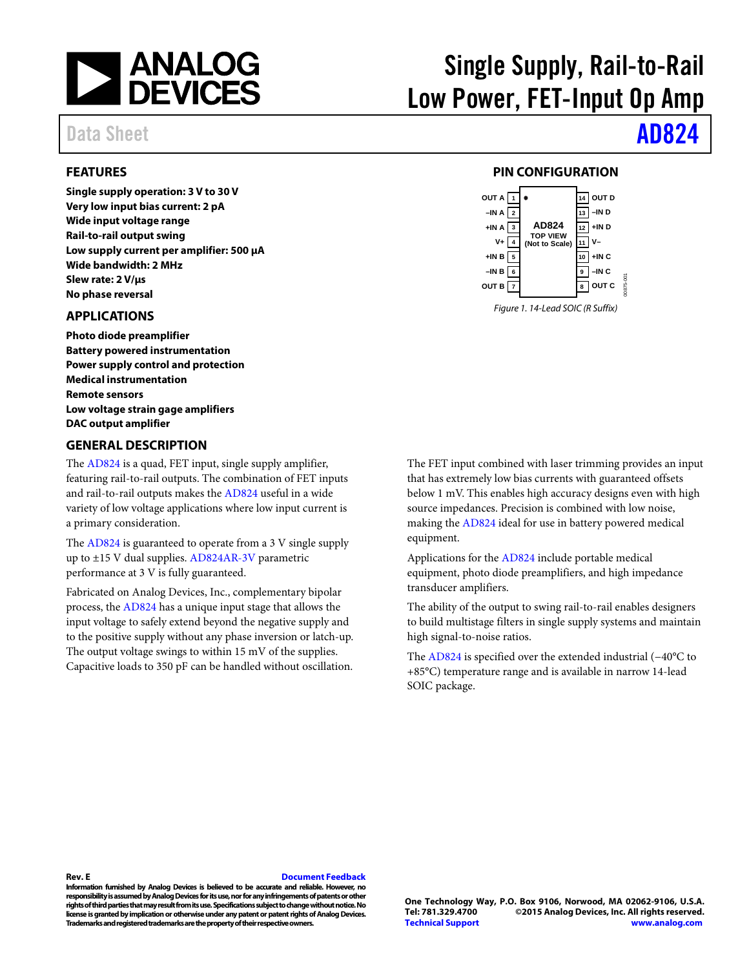

Data Sheet **[AD824](http://www.analog.com/AD824?doc=AD824.pdf)** 

### <span id="page-0-0"></span>**FEATURES**

**Single supply operation: 3 V to 30 V Very low input bias current: 2 pA Wide input voltage range Rail-to-rail output swing Low supply current per amplifier: 500 µA Wide bandwidth: 2 MHz Slew rate: 2 V/µs No phase reversal**

#### <span id="page-0-1"></span>**APPLICATIONS**

**Photo diode preamplifier Battery powered instrumentation Power supply control and protection Medical instrumentation Remote sensors Low voltage strain gage amplifiers DAC output amplifier**

### <span id="page-0-3"></span>**GENERAL DESCRIPTION**

The [AD824](http://www.analog.com/AD824?doc=AD824.pdf) is a quad, FET input, single supply amplifier, featuring rail-to-rail outputs. The combination of FET inputs and rail-to-rail outputs makes th[e AD824](http://www.analog.com/AD824?doc=AD824.pdf) useful in a wide variety of low voltage applications where low input current is a primary consideration.

The [AD824](http://www.analog.com/AD824?doc=AD824.pdf) is guaranteed to operate from a 3 V single supply up to ±15 V dual supplies. [AD824AR-3V](http://www.analog.com/AD824?doc=AD824.pdf) parametric performance at 3 V is fully guaranteed.

Fabricated on Analog Devices, Inc., complementary bipolar process, th[e AD824](http://www.analog.com/AD824?doc=AD824.pdf) has a unique input stage that allows the input voltage to safely extend beyond the negative supply and to the positive supply without any phase inversion or latch-up. The output voltage swings to within 15 mV of the supplies. Capacitive loads to 350 pF can be handled without oscillation.

# Single Supply, Rail-to-Rail Low Power, FET-Input Op Amp

### **PIN CONFIGURATION**

<span id="page-0-2"></span>

The FET input combined with laser trimming provides an input that has extremely low bias currents with guaranteed offsets below 1 mV. This enables high accuracy designs even with high source impedances. Precision is combined with low noise, making the [AD824](http://www.analog.com/AD824?doc=AD824.pdf) ideal for use in battery powered medical equipment.

Applications for the [AD824](http://www.analog.com/AD824?doc=AD824.pdf) include portable medical equipment, photo diode preamplifiers, and high impedance transducer amplifiers.

The ability of the output to swing rail-to-rail enables designers to build multistage filters in single supply systems and maintain high signal-to-noise ratios.

The [AD824](http://www.analog.com/AD824?doc=AD824.pdf) is specified over the extended industrial (−40°C to +85°C) temperature range and is available in narrow 14-lead SOIC package.

#### **Rev. E [Document Feedback](https://form.analog.com/Form_Pages/feedback/documentfeedback.aspx?doc=AD824.pdf&product=AD824&rev=E)**

**Information furnished by Analog Devices is believed to be accurate and reliable. However, no responsibility is assumed by Analog Devices for its use, nor for any infringements of patents or other rights of third parties that may result from its use. Specifications subject to change without notice. No license is granted by implication or otherwise under any patent or patent rights of Analog Devices. Trademarks and registered trademarks are the property of their respective owners.**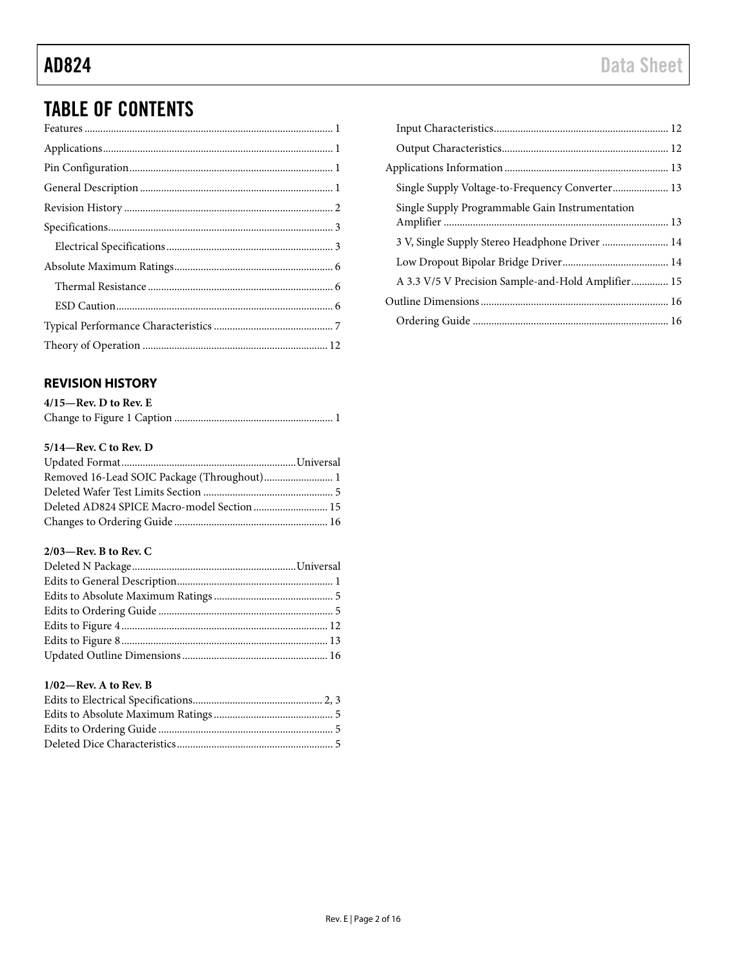# TABLE OF CONTENTS

# <span id="page-1-0"></span>**REVISION HISTORY**

| $4/15$ —Rev. D to Rev. E |  |
|--------------------------|--|
|                          |  |

# **5/14—Rev. C to Rev. D**

| Removed 16-Lead SOIC Package (Throughout) 1 |  |
|---------------------------------------------|--|
|                                             |  |
| Deleted AD824 SPICE Macro-model Section  15 |  |
|                                             |  |

### **2/03—Rev. B to Rev. C**

### **1/02—Rev. A to Rev. B**

| 3 V, Single Supply Stereo Headphone Driver  14     |
|----------------------------------------------------|
|                                                    |
| A 3.3 V/5 V Precision Sample-and-Hold Amplifier 15 |
|                                                    |
|                                                    |
|                                                    |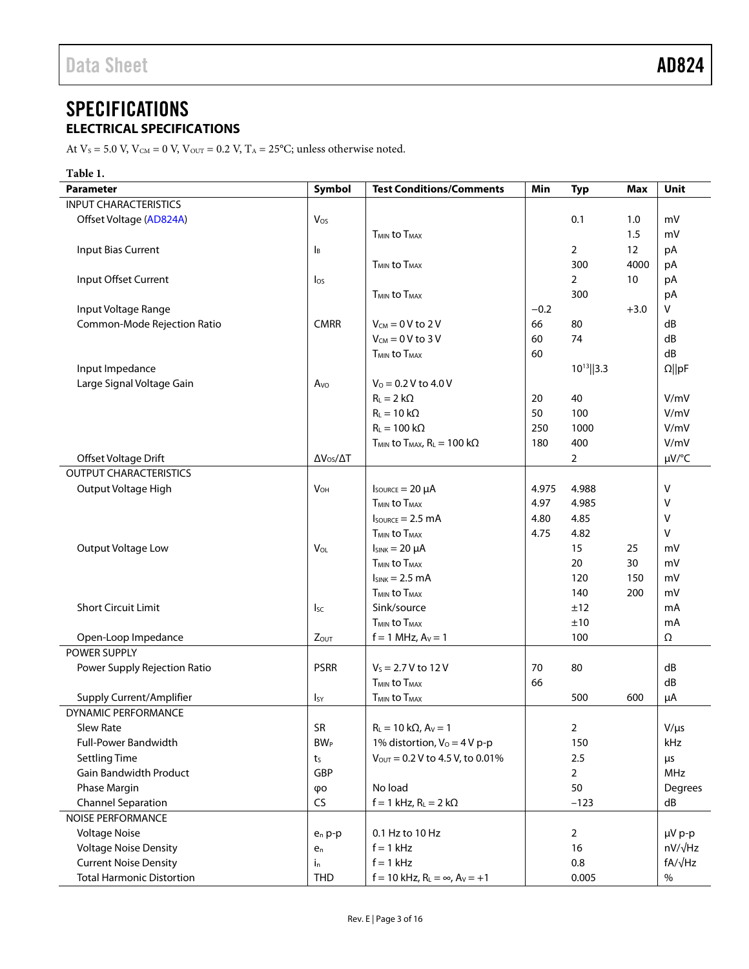# <span id="page-2-0"></span>**SPECIFICATIONS ELECTRICAL SPECIFICATIONS**

<span id="page-2-1"></span>At  $V_s = 5.0$  V,  $V_{CM} = 0$  V,  $V_{OUT} = 0.2$  V,  $T_A = 25$ °C; unless otherwise noted.

| Table 1.                         |                           |                                                 |        |                 |            |                |
|----------------------------------|---------------------------|-------------------------------------------------|--------|-----------------|------------|----------------|
| <b>Parameter</b>                 | Symbol                    | <b>Test Conditions/Comments</b>                 | Min    | <b>Typ</b>      | <b>Max</b> | Unit           |
| <b>INPUT CHARACTERISTICS</b>     |                           |                                                 |        |                 |            |                |
| Offset Voltage (AD824A)          | Vos                       |                                                 |        | 0.1             | 1.0        | mV             |
|                                  |                           | T <sub>MIN</sub> to T <sub>MAX</sub>            |        |                 | 1.5        | mV             |
| Input Bias Current               | $\mathsf{I}_{\mathsf{B}}$ |                                                 |        | $\overline{2}$  | 12         | pA             |
|                                  |                           | T <sub>MIN</sub> to T <sub>MAX</sub>            |        | 300             | 4000       | pA             |
| Input Offset Current             | $\log$                    |                                                 |        | $\overline{2}$  | 10         | pA             |
|                                  |                           | T <sub>MIN</sub> to T <sub>MAX</sub>            |        | 300             |            | pA             |
| Input Voltage Range              |                           |                                                 | $-0.2$ |                 | $+3.0$     | V              |
| Common-Mode Rejection Ratio      | <b>CMRR</b>               | $V_{CM} = 0 V$ to 2 V                           | 66     | 80              |            | dB             |
|                                  |                           | $V_{CM} = 0 V$ to 3 V                           | 60     | 74              |            | dB             |
|                                  |                           | <b>T<sub>MIN</sub></b> to T <sub>MAX</sub>      | 60     |                 |            | dB             |
| Input Impedance                  |                           |                                                 |        | $10^{13}$   3.3 |            | $\Omega$   pF  |
| Large Signal Voltage Gain        | A <sub>VO</sub>           | $V_0 = 0.2 V$ to 4.0 V                          |        |                 |            |                |
|                                  |                           | $R_L = 2 k\Omega$                               | 20     | 40              |            | V/mV           |
|                                  |                           | $R_L = 10 k\Omega$                              | 50     | 100             |            | V/mV           |
|                                  |                           | $R_L = 100 k\Omega$                             | 250    | 1000            |            | V/mV           |
|                                  |                           | $T_{MIN}$ to $T_{MAX}$ , $R_L = 100$ k $\Omega$ | 180    | 400             |            | V/mV           |
| Offset Voltage Drift             | $\Delta V_{OS}/\Delta T$  |                                                 |        | $\overline{2}$  |            | $\mu V$ /°C    |
| <b>OUTPUT CHARACTERISTICS</b>    |                           |                                                 |        |                 |            |                |
| Output Voltage High              | <b>V<sub>OH</sub></b>     | $I_{\text{SOWRCE}} = 20 \mu A$                  | 4.975  | 4.988           |            | V              |
|                                  |                           | T <sub>MIN</sub> to T <sub>MAX</sub>            | 4.97   | 4.985           |            | V              |
|                                  |                           | $I_{\text{SOWRCE}} = 2.5 \text{ mA}$            | 4.80   | 4.85            |            | V              |
|                                  |                           | T <sub>MIN</sub> to T <sub>MAX</sub>            | 4.75   | 4.82            |            | V              |
| Output Voltage Low               | VOL                       | $I_{SINK} = 20 \mu A$                           |        | 15              | 25         | mV             |
|                                  |                           | <b>TMIN to TMAX</b>                             |        | 20              | 30         | mV             |
|                                  |                           | $Isink = 2.5 mA$                                |        | 120             | 150        | mV             |
|                                  |                           | <b>T<sub>MIN</sub></b> to T <sub>MAX</sub>      |        | 140             | 200        | mV             |
| <b>Short Circuit Limit</b>       | <sub>Isc</sub>            | Sink/source                                     |        | ±12             |            | mA             |
|                                  |                           | <b>T<sub>MIN</sub></b> to T <sub>MAX</sub>      |        | ±10             |            | mA             |
| Open-Loop Impedance              | ZOUT                      | $f = 1$ MHz, $A_v = 1$                          |        | 100             |            | Ω              |
| POWER SUPPLY                     |                           |                                                 |        |                 |            |                |
| Power Supply Rejection Ratio     | <b>PSRR</b>               | $V_s = 2.7 V$ to 12 V                           | 70     | 80              |            | dB             |
|                                  |                           | T <sub>MIN</sub> to T <sub>MAX</sub>            | 66     |                 |            | dB             |
| Supply Current/Amplifier         | <b>I</b> sy               | <b>TMIN to TMAX</b>                             |        | 500             | 600        | μA             |
| DYNAMIC PERFORMANCE              |                           |                                                 |        |                 |            |                |
| <b>Slew Rate</b>                 | SR                        | $R_L = 10 k\Omega$ , $A_V = 1$                  |        | $\overline{2}$  |            | $V/\mu s$      |
| <b>Full-Power Bandwidth</b>      | <b>BW<sub>P</sub></b>     | 1% distortion, $V_0 = 4 V p - p$                |        | 150             |            | kHz            |
| <b>Settling Time</b>             | ts                        | $V_{\text{OUT}} = 0.2 V$ to 4.5 V, to 0.01%     |        | 2.5             |            | μs             |
| <b>Gain Bandwidth Product</b>    | GBP                       |                                                 |        | $\overline{2}$  |            | MHz            |
| Phase Margin                     | φо                        | No load                                         |        | 50              |            | Degrees        |
| <b>Channel Separation</b>        | <b>CS</b>                 | $f = 1$ kHz, $R_L = 2$ k $\Omega$               |        | $-123$          |            | dB             |
| NOISE PERFORMANCE                |                           |                                                 |        |                 |            |                |
| <b>Voltage Noise</b>             | $e_n$ p-p                 | 0.1 Hz to 10 Hz                                 |        | $\overline{2}$  |            | µV p-p         |
| <b>Voltage Noise Density</b>     | $e_n$                     | $f = 1$ kHz                                     |        | 16              |            | nV/√Hz         |
| <b>Current Noise Density</b>     | $i_{n}$                   | $f = 1$ kHz                                     |        | 0.8             |            | $fA/\sqrt{Hz}$ |
| <b>Total Harmonic Distortion</b> | <b>THD</b>                | f = 10 kHz, $R_L = \infty$ , $A_V = +1$         |        | 0.005           |            | $\%$           |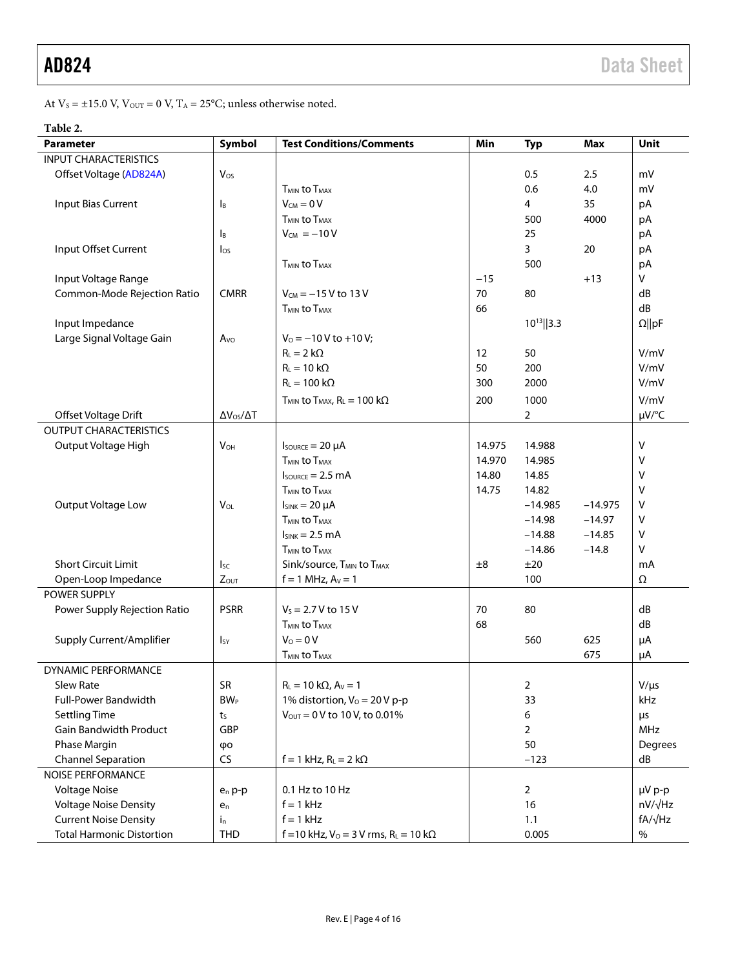At  $V_s = \pm 15.0$  V,  $V_{\text{OUT}} = 0$  V,  $T_A = 25^{\circ}\text{C}$ ; unless otherwise noted.

### **Table 2.**

| <b>Parameter</b>                 | Symbol                   | <b>Test Conditions/Comments</b>                             | Min    | <b>Typ</b>      | Max       | Unit           |
|----------------------------------|--------------------------|-------------------------------------------------------------|--------|-----------------|-----------|----------------|
| <b>INPUT CHARACTERISTICS</b>     |                          |                                                             |        |                 |           |                |
| Offset Voltage (AD824A)          | Vos                      |                                                             |        | 0.5             | 2.5       | mV             |
|                                  |                          | <b>T<sub>MIN</sub></b> to T <sub>MAX</sub>                  |        | 0.6             | 4.0       | mV             |
| Input Bias Current               | Iв                       | $V_{CM} = 0 V$                                              |        | 4               | 35        | pA             |
|                                  |                          | <b>T<sub>MIN</sub></b> to T <sub>MAX</sub>                  |        | 500             | 4000      | pA             |
|                                  | Iв                       | $V_{CM} = -10 V$                                            |        | 25              |           | pA             |
| Input Offset Current             | $\log$                   |                                                             |        | 3               | 20        | pA             |
|                                  |                          | <b>TMIN to TMAX</b>                                         |        | 500             |           | pA             |
| Input Voltage Range              |                          |                                                             | $-15$  |                 | $+13$     | V              |
| Common-Mode Rejection Ratio      | <b>CMRR</b>              | $V_{CM} = -15 V$ to 13 V                                    | 70     | 80              |           | dB             |
|                                  |                          | <b>T<sub>MIN</sub></b> to T <sub>MAX</sub>                  | 66     |                 |           | dB             |
| Input Impedance                  |                          |                                                             |        | $10^{13}$   3.3 |           | $\Omega$   pF  |
| Large Signal Voltage Gain        | Avo                      | $V_0 = -10 V$ to +10 V;                                     |        |                 |           |                |
|                                  |                          | $R_L = 2 k\Omega$                                           | 12     | 50              |           | V/mV           |
|                                  |                          | $R_L = 10 k\Omega$                                          | 50     | 200             |           | V/mV           |
|                                  |                          | $R_L = 100 k\Omega$                                         | 300    | 2000            |           | V/mV           |
|                                  |                          | $T_{MIN}$ to $T_{MAX}$ , $R_L = 100$ k $\Omega$             | 200    | 1000            |           | V/mV           |
| Offset Voltage Drift             | $\Delta V_{OS}/\Delta T$ |                                                             |        | $\overline{2}$  |           | µV/°C          |
| <b>OUTPUT CHARACTERISTICS</b>    |                          |                                                             |        |                 |           |                |
| Output Voltage High              | <b>V<sub>OH</sub></b>    | $I_{\text{SOWRCE}} = 20 \mu A$                              | 14.975 | 14.988          |           | V              |
|                                  |                          | <b>T<sub>MIN</sub></b> to T <sub>MAX</sub>                  | 14.970 | 14.985          |           | v              |
|                                  |                          | $I_{\text{SOWRCE}} = 2.5 \text{ mA}$                        | 14.80  | 14.85           |           | v              |
|                                  |                          | T <sub>MIN</sub> to T <sub>MAX</sub>                        | 14.75  | 14.82           |           | v              |
| Output Voltage Low               | <b>V<sub>OL</sub></b>    | $I_{SINK} = 20 \mu A$                                       |        | $-14.985$       | $-14.975$ | v              |
|                                  |                          | <b>T<sub>MIN</sub></b> to T <sub>MAX</sub>                  |        | $-14.98$        | $-14.97$  | V              |
|                                  |                          | $I_{SINK} = 2.5 \text{ mA}$                                 |        | $-14.88$        | $-14.85$  | V              |
|                                  |                          | <b>T<sub>MIN</sub></b> to T <sub>MAX</sub>                  |        | $-14.86$        | $-14.8$   | V              |
| <b>Short Circuit Limit</b>       | <sub>sc</sub>            | Sink/source, T <sub>MIN</sub> to T <sub>MAX</sub>           | ±8     | ±20             |           | mA             |
| Open-Loop Impedance              | <b>Zout</b>              | $f = 1$ MHz, $Av = 1$                                       |        | 100             |           | Ω              |
| POWER SUPPLY                     |                          |                                                             |        |                 |           |                |
| Power Supply Rejection Ratio     | <b>PSRR</b>              | $V_s = 2.7 V$ to 15 V                                       | 70     | 80              |           | dB             |
|                                  |                          | <b>T<sub>MIN</sub></b> to T <sub>MAX</sub>                  | 68     |                 |           | dB             |
| Supply Current/Amplifier         | $I_{SY}$                 | $V_0 = 0 V$                                                 |        | 560             | 625       | μA             |
|                                  |                          | <b>TMIN to TMAX</b>                                         |        |                 | 675       | μA             |
| DYNAMIC PERFORMANCE              |                          |                                                             |        |                 |           |                |
| Slew Rate                        | SR                       | $R_{L} = 10 k\Omega$ , $A_{V} = 1$                          |        | 2               |           | $V/\mu s$      |
| <b>Full-Power Bandwidth</b>      | <b>BW<sub>P</sub></b>    | 1% distortion, $V_0 = 20 V p - p$                           |        | 33              |           | kHz            |
| <b>Settling Time</b>             | ts                       | $V_{\text{OUT}} = 0$ V to 10 V, to 0.01%                    |        | 6               |           | μs             |
| <b>Gain Bandwidth Product</b>    | <b>GBP</b>               |                                                             |        | $\overline{2}$  |           | MHz            |
| Phase Margin                     | φο                       |                                                             |        | 50              |           | Degrees        |
| <b>Channel Separation</b>        | CS                       | $f = 1$ kHz, $R_L = 2$ k $\Omega$                           |        | $-123$          |           | dB             |
| NOISE PERFORMANCE                |                          |                                                             |        |                 |           |                |
| <b>Voltage Noise</b>             | $e_n p-p$                | 0.1 Hz to 10 Hz                                             |        | $\overline{2}$  |           | µV p-p         |
| <b>Voltage Noise Density</b>     | $e_n$                    | $f = 1$ kHz                                                 |        | 16              |           | $nV/\sqrt{Hz}$ |
| <b>Current Noise Density</b>     | $i_{n}$                  | $f = 1$ kHz                                                 |        | 1.1             |           | $fA/\sqrt{Hz}$ |
| <b>Total Harmonic Distortion</b> | <b>THD</b>               | f = 10 kHz, $V_0$ = 3 V rms, R <sub>L</sub> = 10 k $\Omega$ |        | 0.005           |           | $\%$           |
|                                  |                          |                                                             |        |                 |           |                |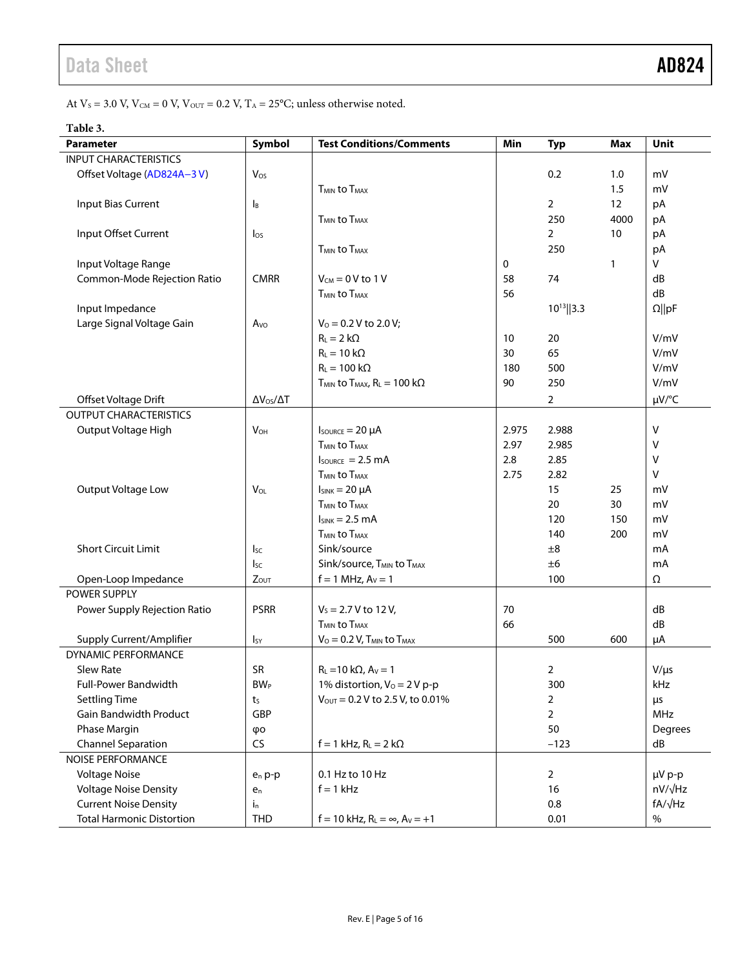At  $V_s$  = 3.0 V,  $V_{\text{CM}}$  = 0 V,  $V_{\text{OUT}}$  = 0.2 V,  $T_A$  = 25°C; unless otherwise noted.

#### **Table 3.**

| Parameter                        | Symbol                   | <b>Test Conditions/Comments</b>                     | Min   | <b>Typ</b>      | <b>Max</b> | Unit           |
|----------------------------------|--------------------------|-----------------------------------------------------|-------|-----------------|------------|----------------|
| <b>INPUT CHARACTERISTICS</b>     |                          |                                                     |       |                 |            |                |
| Offset Voltage (AD824A-3V)       | Vos                      |                                                     |       | 0.2             | 1.0        | mV             |
|                                  |                          | <b>T<sub>MIN</sub></b> to T <sub>MAX</sub>          |       |                 | 1.5        | mV             |
| Input Bias Current               | <b>I</b> B               |                                                     |       | $\overline{2}$  | 12         | pA             |
|                                  |                          | <b>T<sub>MIN</sub></b> to T <sub>MAX</sub>          |       | 250             | 4000       | pA             |
| Input Offset Current             | los                      |                                                     |       | $\overline{2}$  | 10         | pA             |
|                                  |                          | <b>TMIN to TMAX</b>                                 |       | 250             |            | рA             |
| Input Voltage Range              |                          |                                                     | 0     |                 | 1          | V              |
| Common-Mode Rejection Ratio      | <b>CMRR</b>              | $V_{CM} = 0 V$ to 1 V                               | 58    | 74              |            | dB             |
|                                  |                          | <b>T<sub>MIN</sub></b> to T <sub>MAX</sub>          | 56    |                 |            | dB             |
| Input Impedance                  |                          |                                                     |       | $10^{13}$   3.3 |            | $\Omega$   pF  |
| Large Signal Voltage Gain        | Avo                      | $V_0$ = 0.2 V to 2.0 V;                             |       |                 |            |                |
|                                  |                          | $R_L = 2 k\Omega$                                   | 10    | 20              |            | V/mV           |
|                                  |                          | $R_L = 10 k\Omega$                                  | 30    | 65              |            | V/mV           |
|                                  |                          | $R_L = 100 k\Omega$                                 | 180   | 500             |            | V/mV           |
|                                  |                          | $T_{MIN}$ to $T_{MAX}$ , $R_L = 100$ k $\Omega$     | 90    | 250             |            | V/mV           |
| Offset Voltage Drift             | $\Delta V_{OS}/\Delta T$ |                                                     |       | $\overline{2}$  |            | µV/°C          |
| <b>OUTPUT CHARACTERISTICS</b>    |                          |                                                     |       |                 |            |                |
| Output Voltage High              | $V_{OH}$                 | $I_{\text{SOWRCE}} = 20 \mu A$                      | 2.975 | 2.988           |            | Λ              |
|                                  |                          | <b>T<sub>MIN</sub></b> to T <sub>MAX</sub>          | 2.97  | 2.985           |            | ٧              |
|                                  |                          | $I_{\text{SOWRCE}} = 2.5 \text{ mA}$                | 2.8   | 2.85            |            | Λ              |
|                                  |                          | <b>T<sub>MIN</sub></b> to T <sub>MAX</sub>          | 2.75  | 2.82            |            | V              |
| Output Voltage Low               | VOL                      | $I_{SINK} = 20 \mu A$                               |       | 15              | 25         | mV             |
|                                  |                          | <b>T<sub>MIN</sub></b> to T <sub>MAX</sub>          |       | 20              | 30         | mV             |
|                                  |                          | $I_{SINK} = 2.5 mA$                                 |       | 120             | 150        | m۷             |
|                                  |                          | T <sub>MIN</sub> to T <sub>MAX</sub>                |       | 140             | 200        | mV             |
| <b>Short Circuit Limit</b>       | <b>I</b> sc              | Sink/source                                         |       | ±8              |            | mA             |
|                                  | $I_{SC}$                 | Sink/source, T <sub>MIN</sub> to T <sub>MAX</sub>   |       | ±6              |            | mA             |
| Open-Loop Impedance              | Zout                     | $f = 1$ MHz, $Av = 1$                               |       | 100             |            | Ω              |
| POWER SUPPLY                     |                          |                                                     |       |                 |            |                |
| Power Supply Rejection Ratio     | <b>PSRR</b>              | $V_s = 2.7 V$ to 12 V,                              | 70    |                 |            | dB             |
|                                  |                          | <b>T<sub>MIN</sub></b> to T <sub>MAX</sub>          | 66    |                 |            | dB             |
| Supply Current/Amplifier         | $I_{SY}$                 | $V_{\rm O} = 0.2$ V, $T_{\rm MIN}$ to $T_{\rm MAX}$ |       | 500             | 600        | μA             |
| DYNAMIC PERFORMANCE              |                          |                                                     |       |                 |            |                |
| Slew Rate                        | <b>SR</b>                | $R_L = 10 k\Omega$ , $A_V = 1$                      |       | $\overline{2}$  |            | $V/\mu s$      |
| Full-Power Bandwidth             | <b>BW</b> <sub>P</sub>   | 1% distortion, $V_0 = 2 V p - p$                    |       | 300             |            | kHz            |
| <b>Settling Time</b>             | $t_{S}$                  | $V_{\text{OUT}} = 0.2 V$ to 2.5 V, to 0.01%         |       | $\overline{2}$  |            | μs             |
| <b>Gain Bandwidth Product</b>    | GBP                      |                                                     |       | $\overline{2}$  |            | <b>MHz</b>     |
| Phase Margin                     | φо                       |                                                     |       | 50              |            | Degrees        |
| <b>Channel Separation</b>        | CS                       | $f = 1$ kHz, $R_L = 2$ k $\Omega$                   |       | $-123$          |            | dB             |
| <b>NOISE PERFORMANCE</b>         |                          |                                                     |       |                 |            |                |
| <b>Voltage Noise</b>             | $e_n$ p-p                | 0.1 Hz to 10 Hz                                     |       | $\overline{2}$  |            | µV p-p         |
| <b>Voltage Noise Density</b>     | $e_n$                    | $f = 1$ kHz                                         |       | 16              |            | nV/√Hz         |
| <b>Current Noise Density</b>     | $\mathbf{i}_\mathsf{n}$  |                                                     |       | 0.8             |            | $fA/\sqrt{Hz}$ |
| <b>Total Harmonic Distortion</b> | <b>THD</b>               | $f = 10$ kHz, $R_L = \infty$ , $A_V = +1$           |       | 0.01            |            | $\%$           |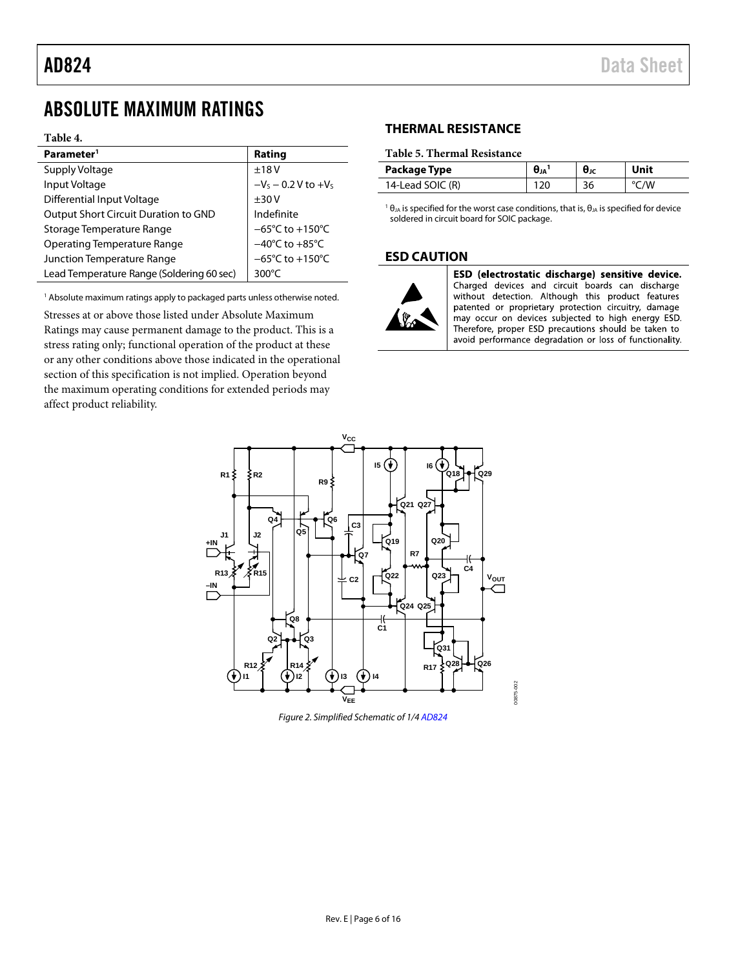# <span id="page-5-0"></span>ABSOLUTE MAXIMUM RATINGS

#### **Table 4.**

| Parameter <sup>1</sup>                    | Rating                               |
|-------------------------------------------|--------------------------------------|
| Supply Voltage                            | ±18V                                 |
| Input Voltage                             | $-V_s - 0.2 V$ to $+V_s$             |
| Differential Input Voltage                | ±30V                                 |
| Output Short Circuit Duration to GND      | Indefinite                           |
| Storage Temperature Range                 | $-65^{\circ}$ C to +150 $^{\circ}$ C |
| <b>Operating Temperature Range</b>        | $-40^{\circ}$ C to $+85^{\circ}$ C   |
| Junction Temperature Range                | $-65^{\circ}$ C to +150 $^{\circ}$ C |
| Lead Temperature Range (Soldering 60 sec) | 300 $\degree$ C                      |

<sup>1</sup> Absolute maximum ratings apply to packaged parts unless otherwise noted.

Stresses at or above those listed under Absolute Maximum Ratings may cause permanent damage to the product. This is a stress rating only; functional operation of the product at these or any other conditions above those indicated in the operational section of this specification is not implied. Operation beyond the maximum operating conditions for extended periods may affect product reliability.

# <span id="page-5-1"></span>**THERMAL RESISTANCE**

#### **Table 5. Thermal Resistance**

| Package Type     | <b>UJA</b> | θĸ | Unit |
|------------------|------------|----|------|
| 14-Lead SOIC (R) |            | 36 | C/W  |

<sup>1</sup> θ<sub>JA</sub> is specified for the worst case conditions, that is, θ<sub>JA</sub> is specified for device soldered in circuit board for SOIC package.

#### <span id="page-5-2"></span>**ESD CAUTION**



ESD (electrostatic discharge) sensitive device. Charged devices and circuit boards can discharge without detection. Although this product features patented or proprietary protection circuitry, damage may occur on devices subjected to high energy ESD. Therefore, proper ESD precautions should be taken to avoid performance degradation or loss of functionality.



*Figure 2. Simplified Schematic of 1/[4 AD824](http://www.analog.com/AD824?doc=AD824.pdf)*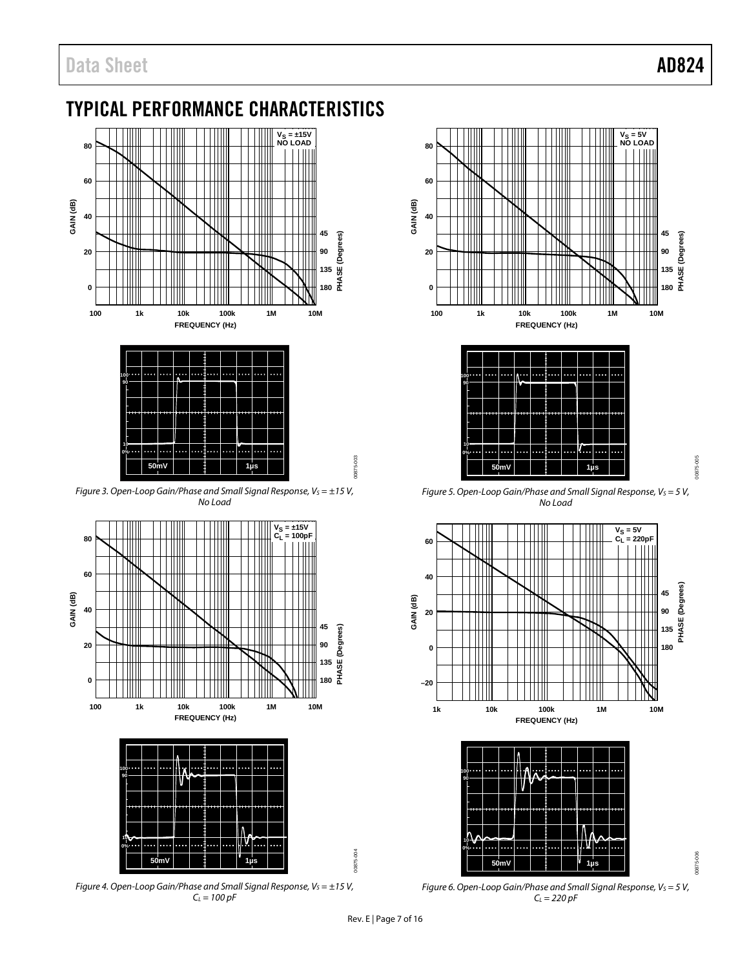00875-005

0875-005

00875-006

000-575006

# <span id="page-6-0"></span>TYPICAL PERFORMANCE CHARACTERISTICS





*Figure 3. Open-Loop Gain/Phase and Small Signal Response, V<sub>S</sub> = ±15 V, No Load*









*Figure 5. Open-Loop Gain/Phase and Small Signal Response, V<sub>S</sub> = 5 V, No Load*





<span id="page-6-1"></span>

00875-004

10875-

**NA** 

00875-003

 $\frac{3}{2}$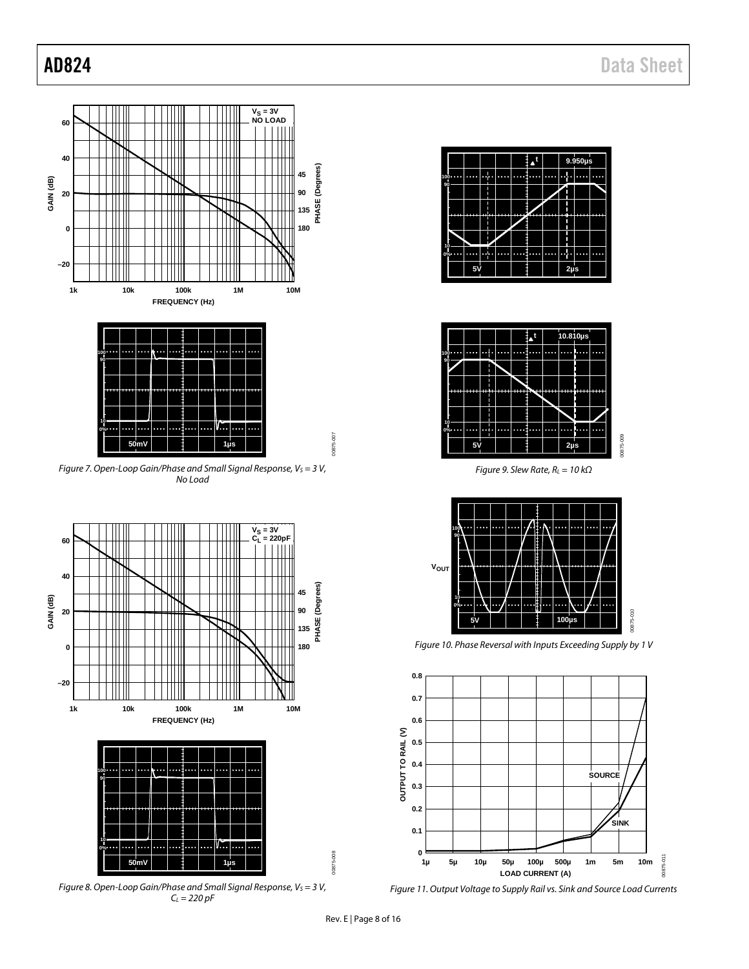00875-011

<span id="page-7-0"></span>0875-011



<span id="page-7-1"></span>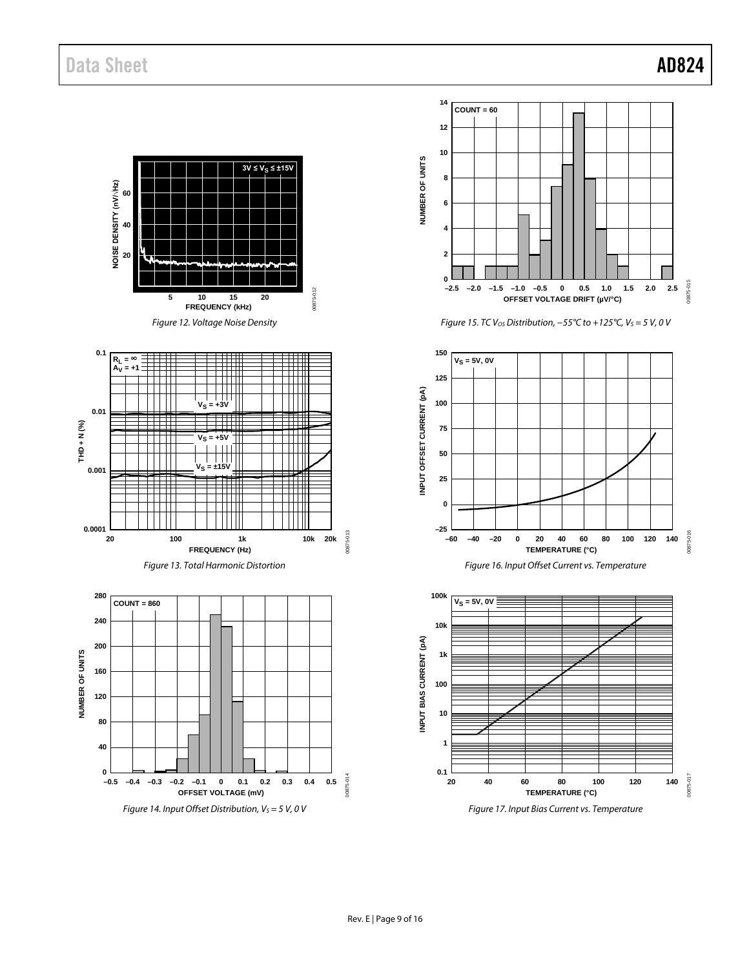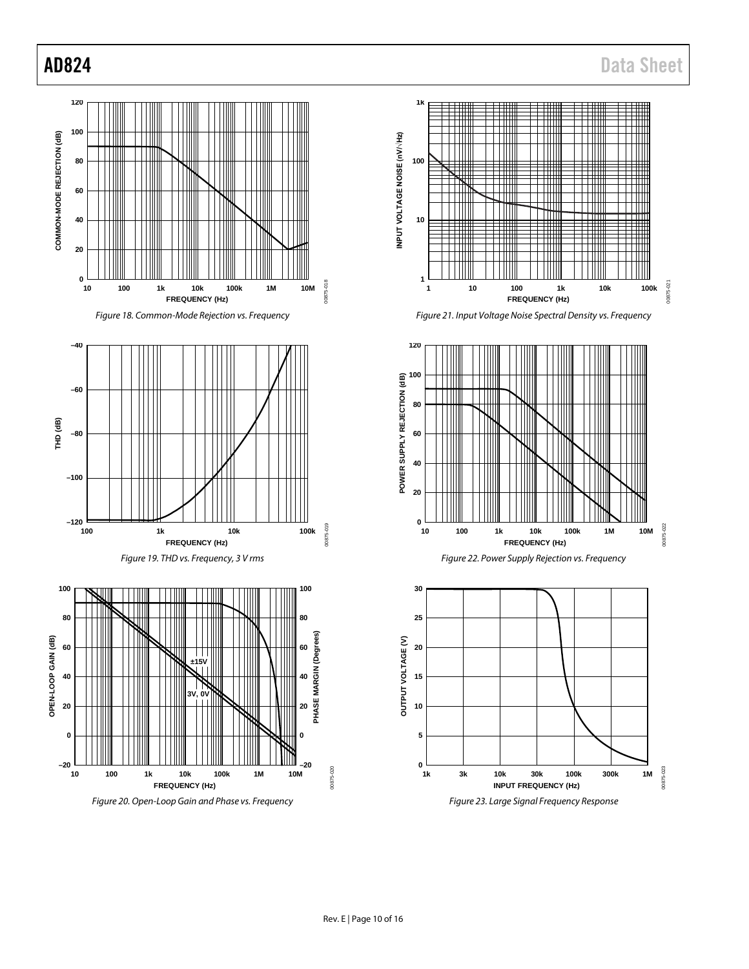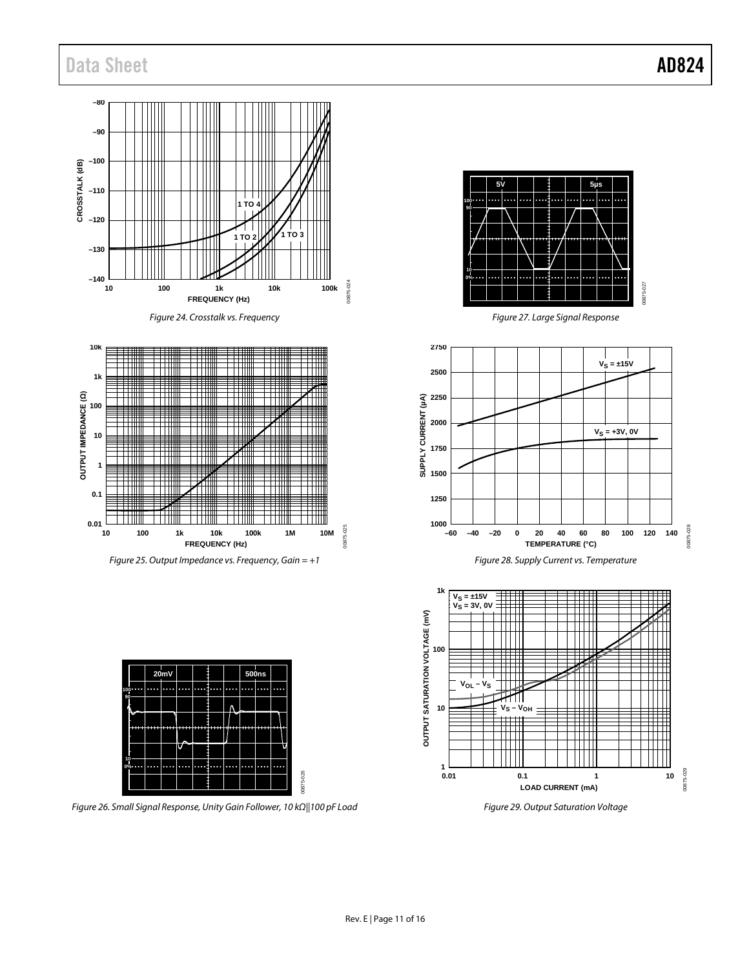





*Figure 25. Output Impedance vs. Frequency, Gain = +1*



*Figure 26. Small Signal Response, Unity Gain Follower, 10 kΩ||100 pF Load*



*Figure 27. Large Signal Response*



**LOAD CURRENT (mA)** *Figure 29. Output Saturation Voltage*

**0.01 0.1 1 10**

00875-029

00875-029

1<br>0.01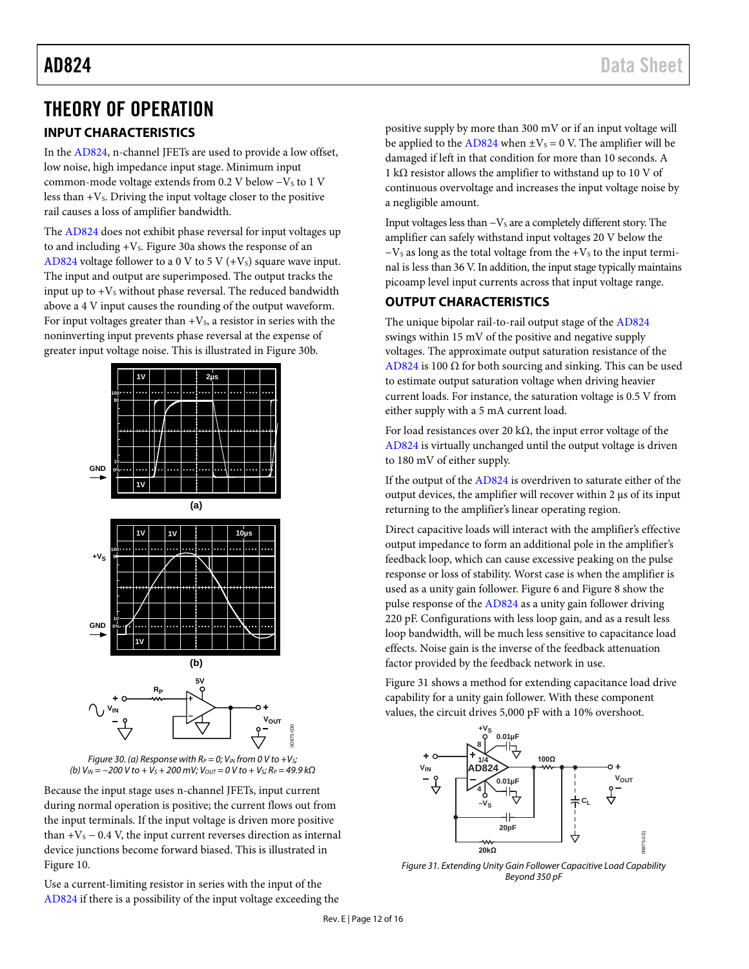# <span id="page-11-0"></span>THEORY OF OPERATION

# <span id="page-11-1"></span>**INPUT CHARACTERISTICS**

In th[e AD824,](http://www.analog.com/AD824?doc=AD824.pdf) n-channel JFETs are used to provide a low offset, low noise, high impedance input stage. Minimum input common-mode voltage extends from 0.2 V below −Vs to 1 V less than  $+V_s$ . Driving the input voltage closer to the positive rail causes a loss of amplifier bandwidth.

The [AD824](http://www.analog.com/AD824?doc=AD824.pdf) does not exhibit phase reversal for input voltages up to and including  $+V_s$ [. Figure 30a](#page-11-3) shows the response of an [AD824](http://www.analog.com/AD824?doc=AD824.pdf) voltage follower to a 0 V to 5 V  $(+V<sub>s</sub>)$  square wave input. The input and output are superimposed. The output tracks the input up to  $+V<sub>S</sub>$  without phase reversal. The reduced bandwidth above a 4 V input causes the rounding of the output waveform. For input voltages greater than  $+V_s$ , a resistor in series with the noninverting input prevents phase reversal at the expense of greater input voltage noise. This is illustrated i[n Figure 30b](#page-11-3).



<span id="page-11-3"></span>

00875-030

Because the input stage uses n-channel JFETs, input current during normal operation is positive; the current flows out from the input terminals. If the input voltage is driven more positive than  $+V_s - 0.4$  V, the input current reverses direction as internal device junctions become forward biased. This is illustrated in [Figure 10.](#page-7-0)

Use a current-limiting resistor in series with the input of the [AD824](http://www.analog.com/AD824?doc=AD824.pdf) if there is a possibility of the input voltage exceeding the positive supply by more than 300 mV or if an input voltage will be applied to the [AD824](http://www.analog.com/AD824?doc=AD824.pdf) when  $\pm V_s = 0$  V. The amplifier will be damaged if left in that condition for more than 10 seconds. A 1 kΩ resistor allows the amplifier to withstand up to 10 V of continuous overvoltage and increases the input voltage noise by a negligible amount.

Input voltages less than  $-V<sub>S</sub>$  are a completely different story. The amplifier can safely withstand input voltages 20 V below the  $-V<sub>S</sub>$  as long as the total voltage from the +V<sub>S</sub> to the input terminal is less than 36 V. In addition, the input stage typically maintains picoamp level input currents across that input voltage range.

# <span id="page-11-2"></span>**OUTPUT CHARACTERISTICS**

The unique bipolar rail-to-rail output stage of the [AD824](http://www.analog.com/AD824?doc=AD824.pdf) swings within 15 mV of the positive and negative supply voltages. The approximate output saturation resistance of the [AD824](http://www.analog.com/AD824?doc=AD824.pdf) is 100  $\Omega$  for both sourcing and sinking. This can be used to estimate output saturation voltage when driving heavier current loads. For instance, the saturation voltage is 0.5 V from either supply with a 5 mA current load.

For load resistances over 20 k $\Omega$ , the input error voltage of the [AD824](http://www.analog.com/AD824?doc=AD824.pdf) is virtually unchanged until the output voltage is driven to 180 mV of either supply.

If the output of th[e AD824](http://www.analog.com/AD824?doc=AD824.pdf) is overdriven to saturate either of the output devices, the amplifier will recover within 2 μs of its input returning to the amplifier's linear operating region.

Direct capacitive loads will interact with the amplifier's effective output impedance to form an additional pole in the amplifier's feedback loop, which can cause excessive peaking on the pulse response or loss of stability. Worst case is when the amplifier is used as a unity gain follower. [Figure 6](#page-6-1) and [Figure 8](#page-7-1) show the pulse response of th[e AD824](http://www.analog.com/AD824?doc=AD824.pdf) as a unity gain follower driving 220 pF. Configurations with less loop gain, and as a result less loop bandwidth, will be much less sensitive to capacitance load effects. Noise gain is the inverse of the feedback attenuation factor provided by the feedback network in use.

[Figure 31](#page-11-4) shows a method for extending capacitance load drive capability for a unity gain follower. With these component values, the circuit drives 5,000 pF with a 10% overshoot.



<span id="page-11-4"></span>*Figure 31. Extending Unity Gain Follower Capacitive Load Capability Beyond 350 pF*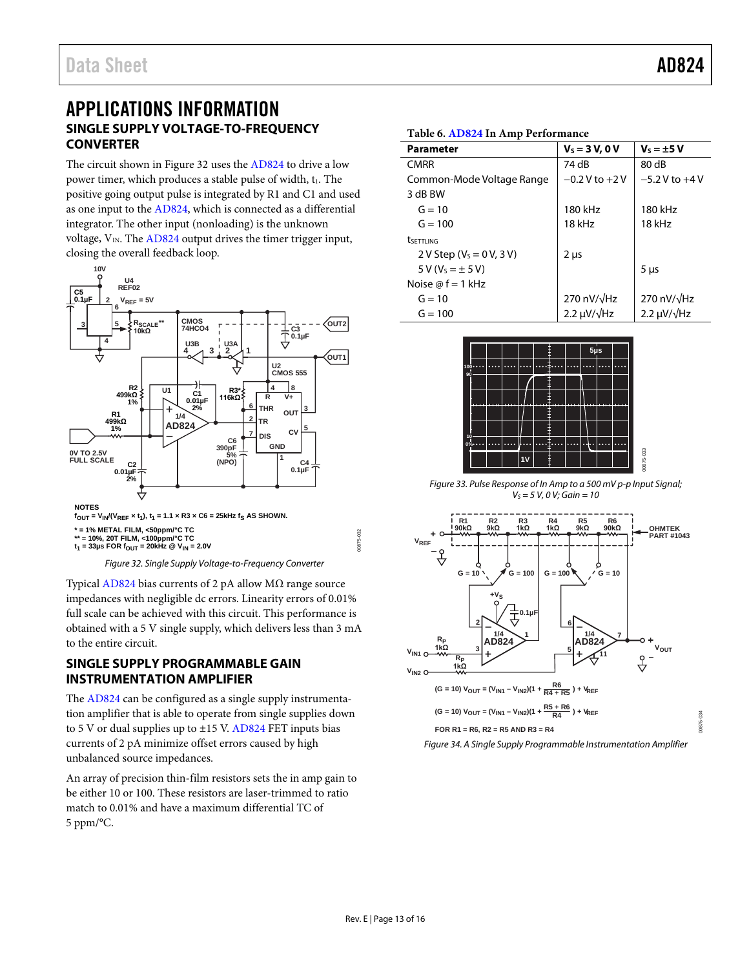# <span id="page-12-1"></span><span id="page-12-0"></span>APPLICATIONS INFORMATION **SINGLE SUPPLY VOLTAGE-TO-FREQUENCY CONVERTER**

The circuit shown i[n Figure 32](#page-12-3) uses the [AD824](http://www.analog.com/AD824?doc=AD824.pdf) to drive a low power timer, which produces a stable pulse of width,  $t_1$ . The positive going output pulse is integrated by R1 and C1 and used as one input to th[e AD824,](http://www.analog.com/AD824?doc=AD824.pdf) which is connected as a differential integrator. The other input (nonloading) is the unknown voltage,  $V_{IN}$ . Th[e AD824](http://www.analog.com/AD824?doc=AD824.pdf) output drives the timer trigger input, closing the overall feedback loop.



<span id="page-12-3"></span>Typical [AD824](http://www.analog.com/AD824?doc=AD824.pdf) bias currents of 2 pA allow MΩ range source impedances with negligible dc errors. Linearity errors of 0.01% full scale can be achieved with this circuit. This performance is obtained with a 5 V single supply, which delivers less than 3 mA to the entire circuit.

### <span id="page-12-2"></span>**SINGLE SUPPLY PROGRAMMABLE GAIN INSTRUMENTATION AMPLIFIER**

The [AD824](http://www.analog.com/AD824?doc=AD824.pdf) can be configured as a single supply instrumentation amplifier that is able to operate from single supplies down to 5 V or dual supplies up to  $\pm$ 15 V[. AD824](http://www.analog.com/AD824?doc=AD824.pdf) FET inputs bias currents of 2 pA minimize offset errors caused by high unbalanced source impedances.

An array of precision thin-film resistors sets the in amp gain to be either 10 or 100. These resistors are laser-trimmed to ratio match to 0.01% and have a maximum differential TC of 5 ppm/°C.

#### **Table 6[. AD824](http://www.analog.com/AD824?doc=AD824.pdf) In Amp Performance**

| л.<br><b>Parameter</b>        | $V_s = 3 V, 0 V$      | $V_s = \pm 5$ V       |
|-------------------------------|-----------------------|-----------------------|
| <b>CMRR</b>                   | 74 dB                 | 80 dB                 |
| Common-Mode Voltage Range     | $-0.2 V$ to $+2 V$    | $-5.2$ V to $+4$ V    |
| 3 dB BW                       |                       |                       |
| $G = 10$                      | 180 kHz               | 180 kHz               |
| $G = 100$                     | 18 kHz                | 18 kHz                |
| <b><i>LSETTLING</i></b>       |                       |                       |
| 2 V Step ( $V_s = 0 V$ , 3 V) | $2 \mu s$             |                       |
| $5V (V_5 = \pm 5V)$           |                       | $5 \mu s$             |
| Noise $\omega f = 1$ kHz      |                       |                       |
| $G = 10$                      | 270 nV/ $\sqrt{Hz}$   | 270 nV/ $\sqrt{Hz}$   |
| $G = 100$                     | $2.2 \mu V/\sqrt{Hz}$ | $2.2 \mu V/\sqrt{Hz}$ |



*Figure 33. Pulse Response of In Amp to a 500 mV p-p Input Signal; VS = 5 V, 0 V; Gain = 10*



*Figure 34. A Single Supply Programmable Instrumentation Amplifier*

00875-034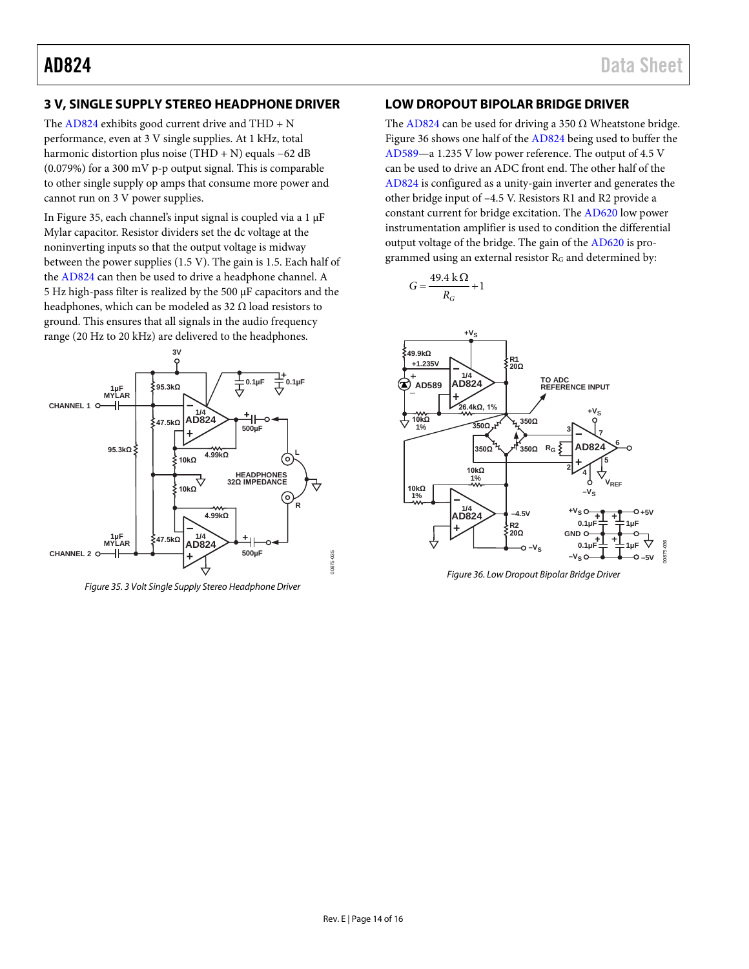## <span id="page-13-0"></span>**3 V, SINGLE SUPPLY STEREO HEADPHONE DRIVER**

The  $AD824$  exhibits good current drive and  $THD + N$ performance, even at 3 V single supplies. At 1 kHz, total harmonic distortion plus noise (THD + N) equals −62 dB (0.079%) for a 300 mV p-p output signal. This is comparable to other single supply op amps that consume more power and cannot run on 3 V power supplies.

I[n Figure 35,](#page-13-2) each channel's input signal is coupled via a  $1 \mu$ F Mylar capacitor. Resistor dividers set the dc voltage at the noninverting inputs so that the output voltage is midway between the power supplies (1.5 V). The gain is 1.5. Each half of the [AD824](http://www.analog.com/AD824?doc=AD824.pdf) can then be used to drive a headphone channel. A 5 Hz high-pass filter is realized by the 500 µF capacitors and the headphones, which can be modeled as 32  $\Omega$  load resistors to ground. This ensures that all signals in the audio frequency range (20 Hz to 20 kHz) are delivered to the headphones.



<span id="page-13-2"></span>*Figure 35. 3 Volt Single Supply Stereo Headphone Driver*

# <span id="page-13-1"></span>**LOW DROPOUT BIPOLAR BRIDGE DRIVER**

The [AD824](http://www.analog.com/AD824?doc=AD824.pdf) can be used for driving a 350  $\Omega$  Wheatstone bridge. [Figure 36](#page-13-3) shows one half of th[e AD824](http://www.analog.com/AD824?doc=AD824.pdf) being used to buffer the [AD589—](http://www.analog.com/AD589?doc=AD824.pdf)a 1.235 V low power reference. The output of 4.5 V can be used to drive an ADC front end. The other half of the [AD824](http://www.analog.com/AD824?doc=AD824.pdf) is configured as a unity-gain inverter and generates the other bridge input of –4.5 V. Resistors R1 and R2 provide a constant current for bridge excitation. The [AD620](http://www.analog.com/AD620?doc=AD824.pdf) low power instrumentation amplifier is used to condition the differential output voltage of the bridge. The gain of the [AD620](http://www.analog.com/AD620?doc=AD824.pdf) is programmed using an external resistor  $R_G$  and determined by:





<span id="page-13-3"></span>*Figure 36. Low Dropout Bipolar Bridge Driver*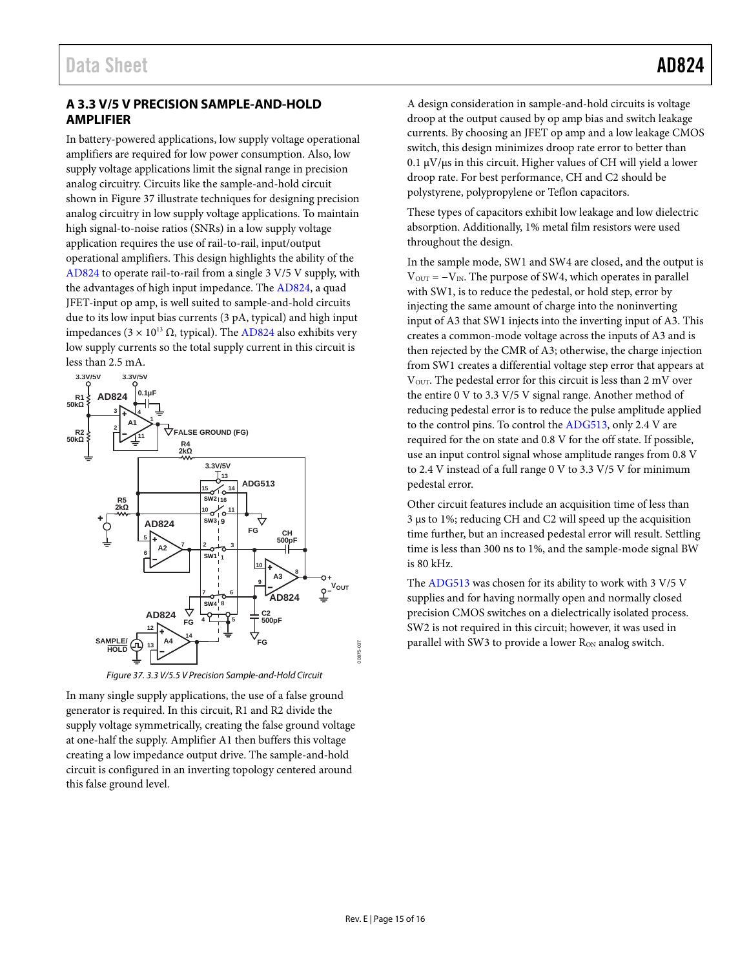# <span id="page-14-0"></span>**A 3.3 V/5 V PRECISION SAMPLE-AND-HOLD AMPLIFIER**

In battery-powered applications, low supply voltage operational amplifiers are required for low power consumption. Also, low supply voltage applications limit the signal range in precision analog circuitry. Circuits like the sample-and-hold circuit shown in [Figure 37](#page-14-1) illustrate techniques for designing precision analog circuitry in low supply voltage applications. To maintain high signal-to-noise ratios (SNRs) in a low supply voltage application requires the use of rail-to-rail, input/output operational amplifiers. This design highlights the ability of the [AD824](http://www.analog.com/AD824?doc=AD824.pdf) to operate rail-to-rail from a single 3 V/5 V supply, with the advantages of high input impedance. Th[e AD824,](http://www.analog.com/AD824?doc=AD824.pdf) a quad JFET-input op amp, is well suited to sample-and-hold circuits due to its low input bias currents (3 pA, typical) and high input impedances (3 × 10<sup>13</sup> Ω, typical). The [AD824](http://www.analog.com/AD824?doc=AD824.pdf) also exhibits very low supply currents so the total supply current in this circuit is less than 2.5 mA.



*Figure 37. 3.3 V/5.5 V Precision Sample-and-Hold Circuit*

<span id="page-14-1"></span>In many single supply applications, the use of a false ground generator is required. In this circuit, R1 and R2 divide the supply voltage symmetrically, creating the false ground voltage at one-half the supply. Amplifier A1 then buffers this voltage creating a low impedance output drive. The sample-and-hold circuit is configured in an inverting topology centered around this false ground level.

A design consideration in sample-and-hold circuits is voltage droop at the output caused by op amp bias and switch leakage currents. By choosing an JFET op amp and a low leakage CMOS switch, this design minimizes droop rate error to better than  $0.1 \mu V/\mu s$  in this circuit. Higher values of CH will yield a lower droop rate. For best performance, CH and C2 should be polystyrene, polypropylene or Teflon capacitors.

These types of capacitors exhibit low leakage and low dielectric absorption. Additionally, 1% metal film resistors were used throughout the design.

In the sample mode, SW1 and SW4 are closed, and the output is  $V<sub>OUT</sub> = -V<sub>IN</sub>$ . The purpose of SW4, which operates in parallel with SW1, is to reduce the pedestal, or hold step, error by injecting the same amount of charge into the noninverting input of A3 that SW1 injects into the inverting input of A3. This creates a common-mode voltage across the inputs of A3 and is then rejected by the CMR of A3; otherwise, the charge injection from SW1 creates a differential voltage step error that appears at  $V<sub>OUT</sub>$ . The pedestal error for this circuit is less than 2 mV over the entire 0 V to 3.3 V/5 V signal range. Another method of reducing pedestal error is to reduce the pulse amplitude applied to the control pins. To control th[e ADG513,](http://www.analog.com/ADG513?doc=AD824.pdf) only 2.4 V are required for the on state and 0.8 V for the off state. If possible, use an input control signal whose amplitude ranges from 0.8 V to 2.4 V instead of a full range 0 V to 3.3 V/5 V for minimum pedestal error.

Other circuit features include an acquisition time of less than 3 µs to 1%; reducing CH and C2 will speed up the acquisition time further, but an increased pedestal error will result. Settling time is less than 300 ns to 1%, and the sample-mode signal BW is 80 kHz.

The [ADG513](http://www.analog.com/ADG513?doc=AD824.pdf) was chosen for its ability to work with 3 V/5 V supplies and for having normally open and normally closed precision CMOS switches on a dielectrically isolated process. SW2 is not required in this circuit; however, it was used in parallel with SW3 to provide a lower R<sub>ON</sub> analog switch.

00875-037

0875-037